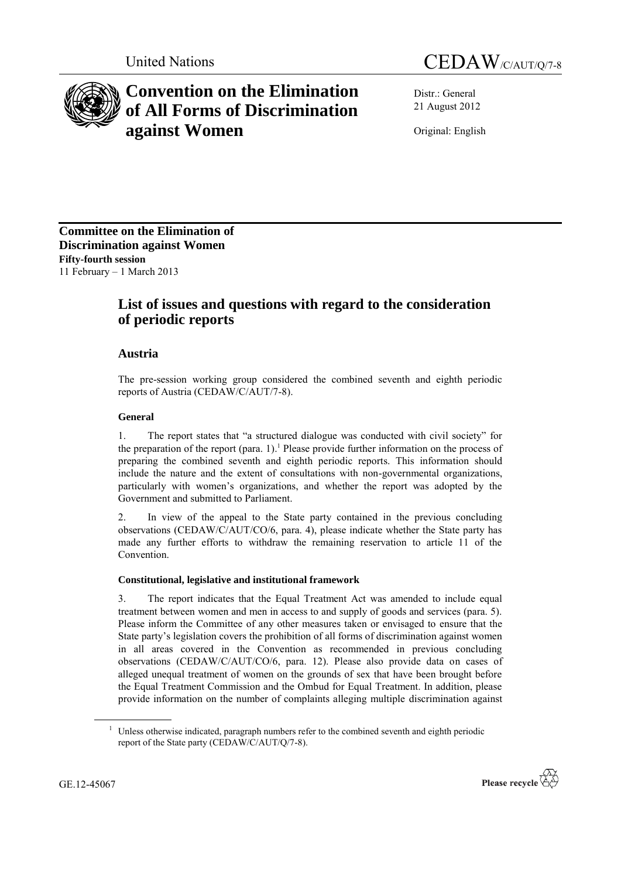



# **Convention on the Elimination of All Forms of Discrimination against Women**

Distr.: General 21 August 2012

Original: English

**Committee on the Elimination of Discrimination against Women Fifty-fourth session** 11 February – 1 March 2013

# **List of issues and questions with regard to the consideration of periodic reports**

# **Austria**

The pre-session working group considered the combined seventh and eighth periodic reports of Austria (CEDAW/C/AUT/7-8).

### **General**

1. The report states that "a structured dialogue was conducted with civil society" for the preparation of the report (para. 1).<sup>1</sup> Please provide further information on the process of preparing the combined seventh and eighth periodic reports. This information should include the nature and the extent of consultations with non-governmental organizations, particularly with women's organizations, and whether the report was adopted by the Government and submitted to Parliament.

2. In view of the appeal to the State party contained in the previous concluding observations (CEDAW/C/AUT/CO/6, para. 4), please indicate whether the State party has made any further efforts to withdraw the remaining reservation to article 11 of the Convention.

## **Constitutional, legislative and institutional framework**

3. The report indicates that the Equal Treatment Act was amended to include equal treatment between women and men in access to and supply of goods and services (para. 5). Please inform the Committee of any other measures taken or envisaged to ensure that the State party's legislation covers the prohibition of all forms of discrimination against women in all areas covered in the Convention as recommended in previous concluding observations (CEDAW/C/AUT/CO/6, para. 12). Please also provide data on cases of alleged unequal treatment of women on the grounds of sex that have been brought before the Equal Treatment Commission and the Ombud for Equal Treatment. In addition, please provide information on the number of complaints alleging multiple discrimination against

<sup>&</sup>lt;sup>1</sup> Unless otherwise indicated, paragraph numbers refer to the combined seventh and eighth periodic report of the State party (CEDAW/C/AUT/Q/7-8).



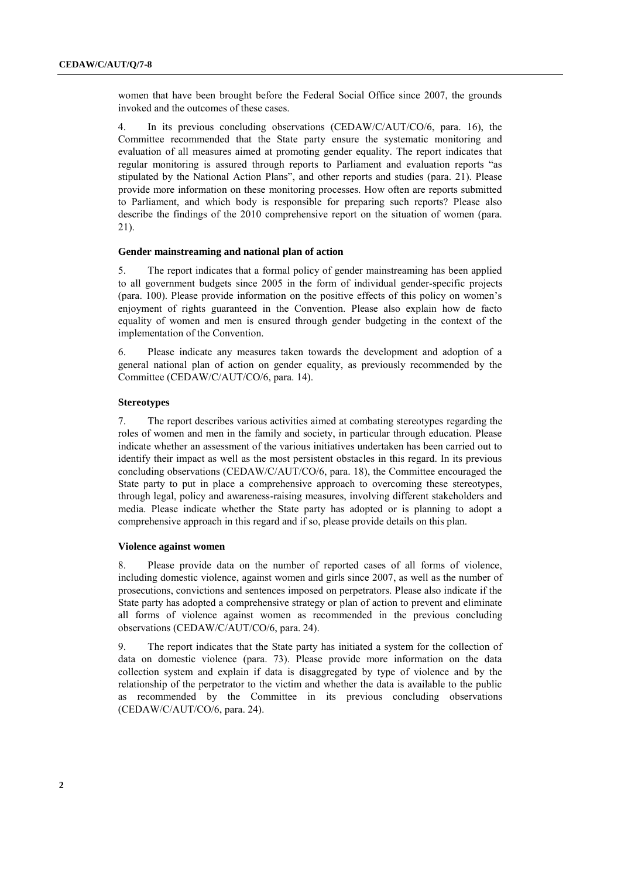women that have been brought before the Federal Social Office since 2007, the grounds invoked and the outcomes of these cases.

4. In its previous concluding observations (CEDAW/C/AUT/CO/6, para. 16), the Committee recommended that the State party ensure the systematic monitoring and evaluation of all measures aimed at promoting gender equality. The report indicates that regular monitoring is assured through reports to Parliament and evaluation reports "as stipulated by the National Action Plans", and other reports and studies (para. 21). Please provide more information on these monitoring processes. How often are reports submitted to Parliament, and which body is responsible for preparing such reports? Please also describe the findings of the 2010 comprehensive report on the situation of women (para. 21).

#### **Gender mainstreaming and national plan of action**

5. The report indicates that a formal policy of gender mainstreaming has been applied to all government budgets since 2005 in the form of individual gender-specific projects (para. 100). Please provide information on the positive effects of this policy on women's enjoyment of rights guaranteed in the Convention. Please also explain how de facto equality of women and men is ensured through gender budgeting in the context of the implementation of the Convention.

6. Please indicate any measures taken towards the development and adoption of a general national plan of action on gender equality, as previously recommended by the Committee (CEDAW/C/AUT/CO/6, para. 14).

#### **Stereotypes**

7. The report describes various activities aimed at combating stereotypes regarding the roles of women and men in the family and society, in particular through education. Please indicate whether an assessment of the various initiatives undertaken has been carried out to identify their impact as well as the most persistent obstacles in this regard. In its previous concluding observations (CEDAW/C/AUT/CO/6, para. 18), the Committee encouraged the State party to put in place a comprehensive approach to overcoming these stereotypes, through legal, policy and awareness-raising measures, involving different stakeholders and media. Please indicate whether the State party has adopted or is planning to adopt a comprehensive approach in this regard and if so, please provide details on this plan.

#### **Violence against women**

8. Please provide data on the number of reported cases of all forms of violence, including domestic violence, against women and girls since 2007, as well as the number of prosecutions, convictions and sentences imposed on perpetrators. Please also indicate if the State party has adopted a comprehensive strategy or plan of action to prevent and eliminate all forms of violence against women as recommended in the previous concluding observations (CEDAW/C/AUT/CO/6, para. 24).

9. The report indicates that the State party has initiated a system for the collection of data on domestic violence (para. 73). Please provide more information on the data collection system and explain if data is disaggregated by type of violence and by the relationship of the perpetrator to the victim and whether the data is available to the public as recommended by the Committee in its previous concluding observations (CEDAW/C/AUT/CO/6, para. 24).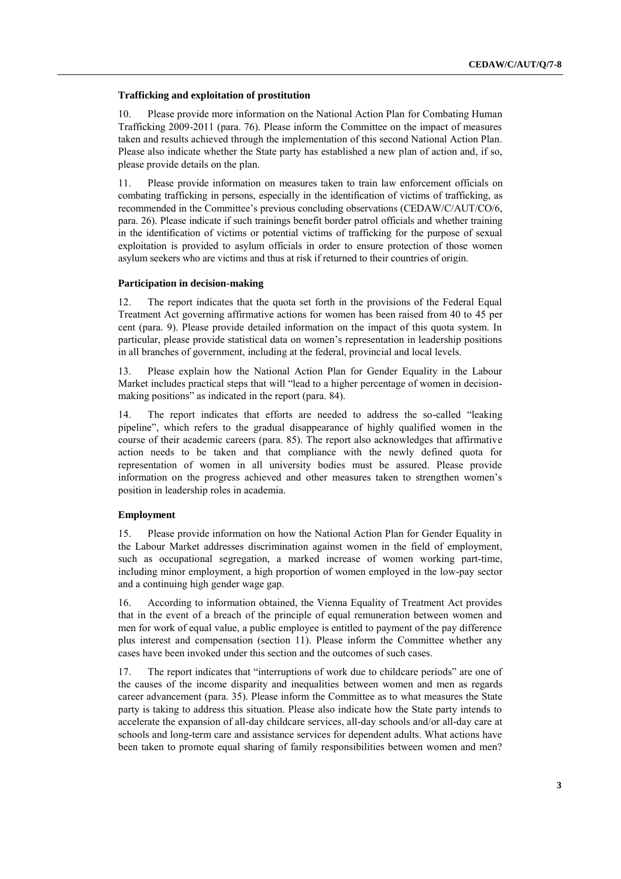#### **Trafficking and exploitation of prostitution**

10. Please provide more information on the National Action Plan for Combating Human Trafficking 2009-2011 (para. 76). Please inform the Committee on the impact of measures taken and results achieved through the implementation of this second National Action Plan. Please also indicate whether the State party has established a new plan of action and, if so, please provide details on the plan.

11. Please provide information on measures taken to train law enforcement officials on combating trafficking in persons, especially in the identification of victims of trafficking, as recommended in the Committee's previous concluding observations (CEDAW/C/AUT/CO/6, para. 26). Please indicate if such trainings benefit border patrol officials and whether training in the identification of victims or potential victims of trafficking for the purpose of sexual exploitation is provided to asylum officials in order to ensure protection of those women asylum seekers who are victims and thus at risk if returned to their countries of origin.

#### **Participation in decision-making**

12. The report indicates that the quota set forth in the provisions of the Federal Equal Treatment Act governing affirmative actions for women has been raised from 40 to 45 per cent (para. 9). Please provide detailed information on the impact of this quota system. In particular, please provide statistical data on women's representation in leadership positions in all branches of government, including at the federal, provincial and local levels.

13. Please explain how the National Action Plan for Gender Equality in the Labour Market includes practical steps that will "lead to a higher percentage of women in decisionmaking positions" as indicated in the report (para. 84).

14. The report indicates that efforts are needed to address the so-called "leaking pipeline", which refers to the gradual disappearance of highly qualified women in the course of their academic careers (para. 85). The report also acknowledges that affirmative action needs to be taken and that compliance with the newly defined quota for representation of women in all university bodies must be assured. Please provide information on the progress achieved and other measures taken to strengthen women's position in leadership roles in academia.

#### **Employment**

15. Please provide information on how the National Action Plan for Gender Equality in the Labour Market addresses discrimination against women in the field of employment, such as occupational segregation, a marked increase of women working part-time, including minor employment, a high proportion of women employed in the low-pay sector and a continuing high gender wage gap.

16. According to information obtained, the Vienna Equality of Treatment Act provides that in the event of a breach of the principle of equal remuneration between women and men for work of equal value, a public employee is entitled to payment of the pay difference plus interest and compensation (section 11). Please inform the Committee whether any cases have been invoked under this section and the outcomes of such cases.

17. The report indicates that "interruptions of work due to childcare periods" are one of the causes of the income disparity and inequalities between women and men as regards career advancement (para. 35). Please inform the Committee as to what measures the State party is taking to address this situation. Please also indicate how the State party intends to accelerate the expansion of all-day childcare services, all-day schools and/or all-day care at schools and long-term care and assistance services for dependent adults. What actions have been taken to promote equal sharing of family responsibilities between women and men?